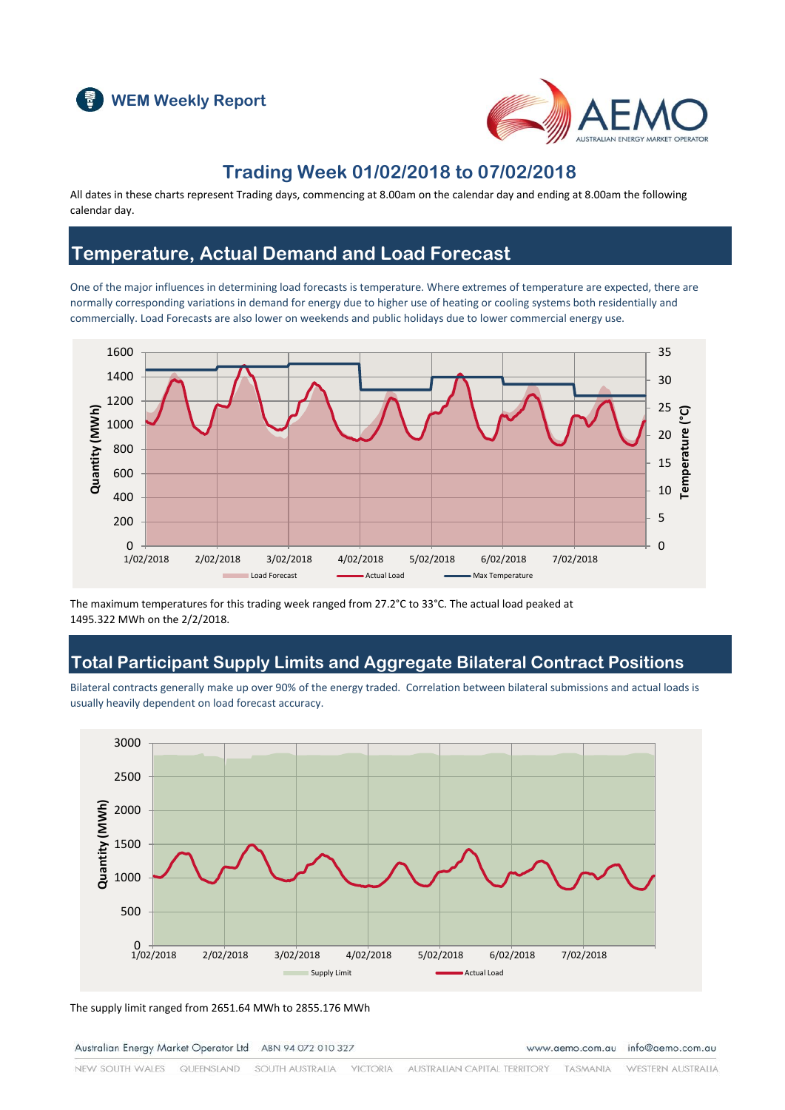



## **Trading Week 01/02/2018 to 07/02/2018**

All dates in these charts represent Trading days, commencing at 8.00am on the calendar day and ending at 8.00am the following calendar day.

## **Temperature, Actual Demand and Load Forecast**

One of the major influences in determining load forecasts is temperature. Where extremes of temperature are expected, there are normally corresponding variations in demand for energy due to higher use of heating or cooling systems both residentially and commercially. Load Forecasts are also lower on weekends and public holidays due to lower commercial energy use.



The maximum temperatures for this trading week ranged from 27.2°C to 33°C. The actual load peaked at 1495.322 MWh on the 2/2/2018.

## **Total Participant Supply Limits and Aggregate Bilateral Contract Positions**

Bilateral contracts generally make up over 90% of the energy traded. Correlation between bilateral submissions and actual loads is usually heavily dependent on load forecast accuracy.



The supply limit ranged from 2651.64 MWh to 2855.176 MWh

Australian Energy Market Operator Ltd ABN 94 072 010 327

www.aemo.com.au info@aemo.com.au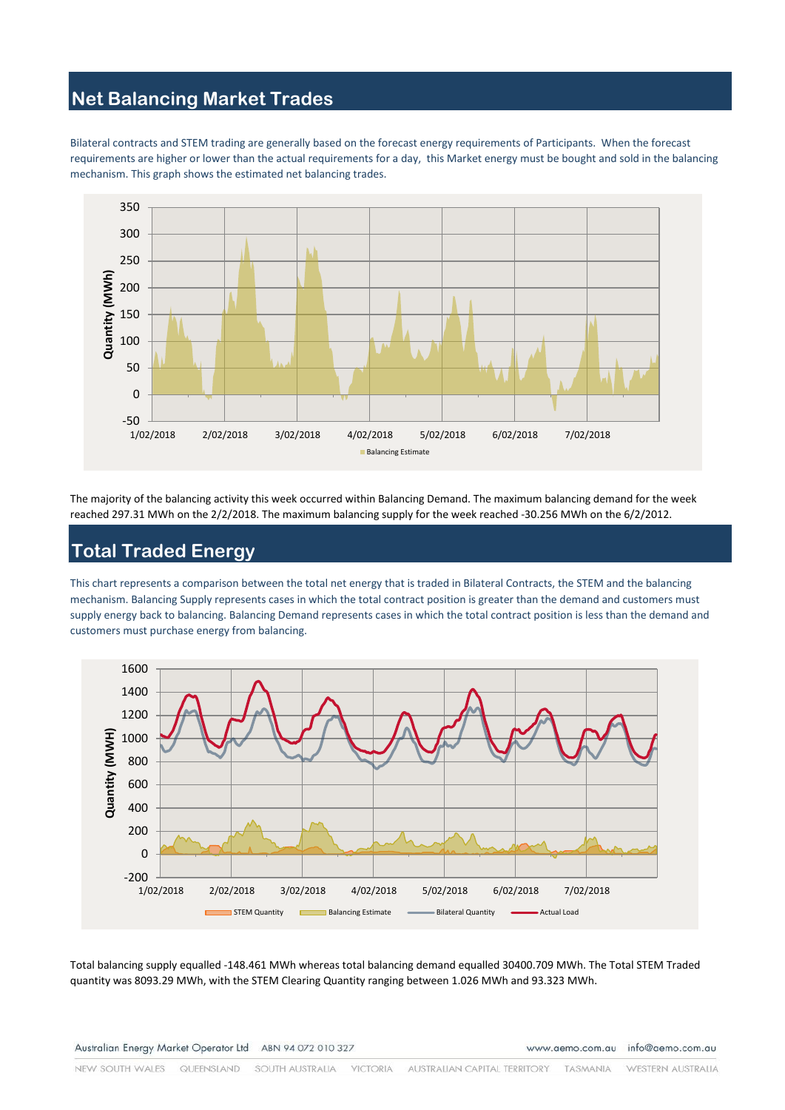## **Net Balancing Market Trades**

Bilateral contracts and STEM trading are generally based on the forecast energy requirements of Participants. When the forecast requirements are higher or lower than the actual requirements for a day, this Market energy must be bought and sold in the balancing mechanism. This graph shows the estimated net balancing trades.



The majority of the balancing activity this week occurred within Balancing Demand. The maximum balancing demand for the week reached 297.31 MWh on the 2/2/2018. The maximum balancing supply for the week reached -30.256 MWh on the 6/2/2012.

# **Total Traded Energy**

This chart represents a comparison between the total net energy that is traded in Bilateral Contracts, the STEM and the balancing mechanism. Balancing Supply represents cases in which the total contract position is greater than the demand and customers must supply energy back to balancing. Balancing Demand represents cases in which the total contract position is less than the demand and customers must purchase energy from balancing.



Total balancing supply equalled -148.461 MWh whereas total balancing demand equalled 30400.709 MWh. The Total STEM Traded quantity was 8093.29 MWh, with the STEM Clearing Quantity ranging between 1.026 MWh and 93.323 MWh.